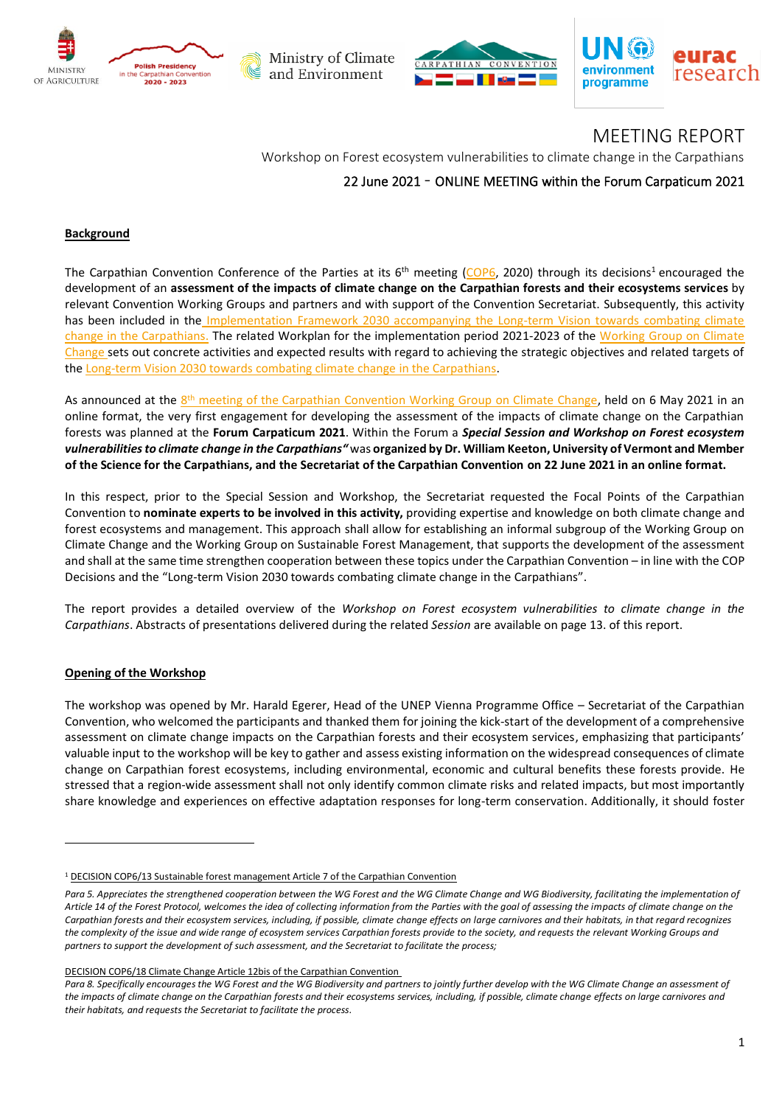







# MEETING REPORT

Workshop on Forest ecosystem vulnerabilities to climate change in the Carpathians

22 June 2021 - ONLINE MEETING within the Forum Carpaticum 2021

## **Background**

The Carpathian Convention Conference of the Parties at its  $6<sup>th</sup>$  meeting [\(COP6,](http://www.carpathianconvention.org/cop6/cop6.html) 2020) through its decisions<sup>1</sup> encouraged the development of an **assessment of the impacts of climate change on the Carpathian forests and their ecosystems services** by relevant Convention Working Groups and partners and with support of the Convention Secretariat. Subsequently, this activity has been included in the Implementation Framework 2030 accompanying the Long-term Vision towards combating climate [change in the Carpathians.](http://www.carpathianconvention.org/tl_files/carpathiancon/Downloads/03%20Meetings%20and%20Events/COP/2020_COP6_Online/official%20documents/CC%20COP6%20DOC11_Implementation_Framework_2030_WG%20CC_FINAL%20DRAFT.pdf) The related Workplan for the implementation period 2021-2023 of the [Working Group on](http://www.carpathianconvention.org/tl_files/carpathiancon/Downloads/03%20Meetings%20and%20Events/Working%20Groups/Adaptation%20to%20Climate%20Change/8%20WG%20CLIMATE%20CHANGE/Workplan2021-2023_WG%20CC_DRAFT_27042021_incl.comments_received.docx) Climate [Change s](http://www.carpathianconvention.org/tl_files/carpathiancon/Downloads/03%20Meetings%20and%20Events/Working%20Groups/Adaptation%20to%20Climate%20Change/8%20WG%20CLIMATE%20CHANGE/Workplan2021-2023_WG%20CC_DRAFT_27042021_incl.comments_received.docx)ets out concrete activities and expected results with regard to achieving the strategic objectives and related targets of the Long-term Vision [2030 towards combating climate change in the Carpathians.](http://www.carpathianconvention.org/tl_files/carpathiancon/Downloads/03%20Meetings%20and%20Events/COP/2020_COP6_Online/official%20documents/CC%20COP6%20DOC10_Long_Term_Vision_2030_FINAL%20DRAFT.pdf)

As announced at the  $8<sup>th</sup>$  meeting of the [Carpathian Convention Working Group on Climate Change,](http://www.carpathianconvention.org/eventdetailwg-124/events/eight-meeting-of-the-working-group-on-climate-change.html) held on 6 May 2021 in an online format, the very first engagement for developing the assessment of the impacts of climate change on the Carpathian forests was planned at the **Forum Carpaticum 2021**. Within the Forum a *Special Session and Workshop on Forest ecosystem vulnerabilities to climate change in the Carpathians"* was **organized by Dr. William Keeton, University of Vermont and Member of the Science for the Carpathians, and the Secretariat of the Carpathian Convention on 22 June 2021 in an online format.**

In this respect, prior to the Special Session and Workshop, the Secretariat requested the Focal Points of the Carpathian Convention to **nominate experts to be involved in this activity,** providing expertise and knowledge on both climate change and forest ecosystems and management. This approach shall allow for establishing an informal subgroup of the Working Group on Climate Change and the Working Group on Sustainable Forest Management, that supports the development of the assessment and shall at the same time strengthen cooperation between these topics under the Carpathian Convention – in line with the COP Decisions and the "Long-term Vision 2030 towards combating climate change in the Carpathians".

The report provides a detailed overview of the *Workshop on Forest ecosystem vulnerabilities to climate change in the Carpathians*. Abstracts of presentations delivered during the related *Session* are available on page 13. of this report.

### **Opening of the Workshop**

The workshop was opened by Mr. Harald Egerer, Head of the UNEP Vienna Programme Office – Secretariat of the Carpathian Convention, who welcomed the participants and thanked them for joining the kick-start of the development of a comprehensive assessment on climate change impacts on the Carpathian forests and their ecosystem services, emphasizing that participants' valuable input to the workshop will be key to gather and assess existing information on the widespread consequences of climate change on Carpathian forest ecosystems, including environmental, economic and cultural benefits these forests provide. He stressed that a region-wide assessment shall not only identify common climate risks and related impacts, but most importantly share knowledge and experiences on effective adaptation responses for long-term conservation. Additionally, it should foster

<sup>1</sup> DECISION COP6/13 Sustainable forest management Article 7 of the Carpathian Convention

Para 5. Appreciates the strengthened cooperation between the WG Forest and the WG Climate Change and WG Biodiversity, facilitating the implementation of *Article 14 of the Forest Protocol, welcomes the idea of collecting information from the Parties with the goal of assessing the impacts of climate change on the*  Carpathian forests and their ecosystem services, including, if possible, climate change effects on large carnivores and their habitats, in that regard recognizes *the complexity of the issue and wide range of ecosystem services Carpathian forests provide to the society, and requests the relevant Working Groups and partners to support the development of such assessment, and the Secretariat to facilitate the process;*

DECISION COP6/18 Climate Change Article 12bis of the Carpathian Convention

Para 8. Specifically encourages the WG Forest and the WG Biodiversity and partners to jointly further develop with the WG Climate Change an assessment of *the impacts of climate change on the Carpathian forests and their ecosystems services, including, if possible, climate change effects on large carnivores and their habitats, and requests the Secretariat to facilitate the process.*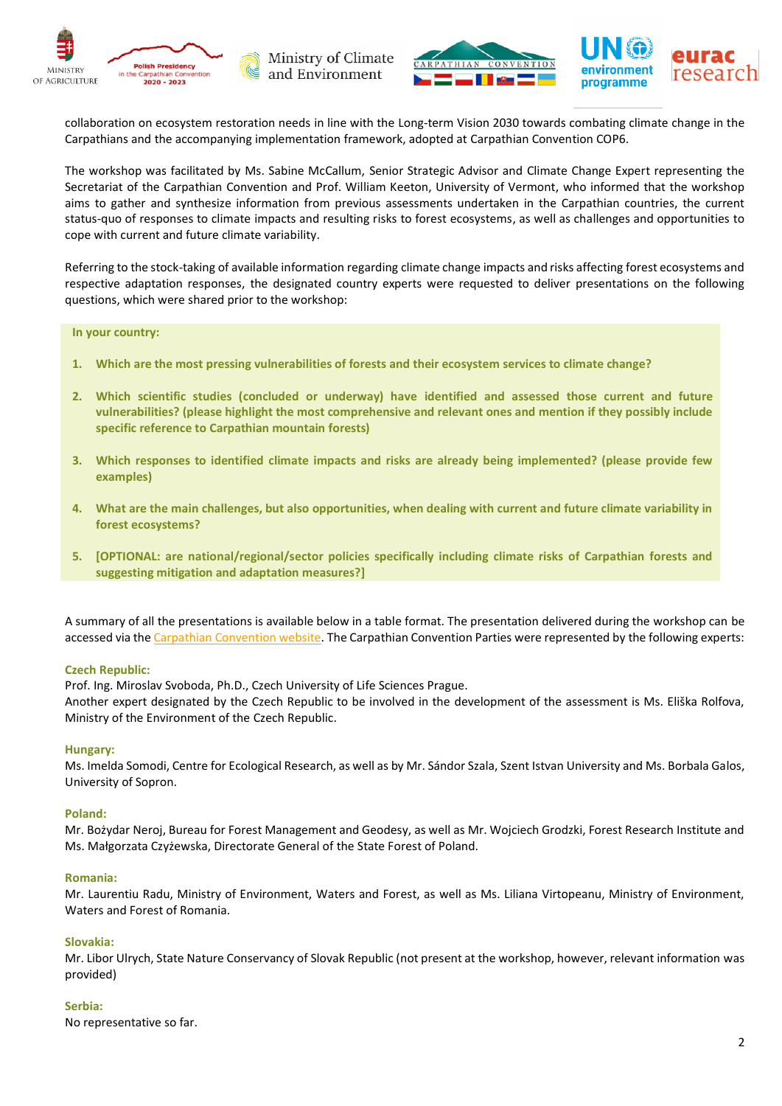







collaboration on ecosystem restoration needs in line with the Long-term Vision 2030 towards combating climate change in the Carpathians and the accompanying implementation framework, adopted at Carpathian Convention COP6.

The workshop was facilitated by Ms. Sabine McCallum, Senior Strategic Advisor and Climate Change Expert representing the Secretariat of the Carpathian Convention and Prof. William Keeton, University of Vermont, who informed that the workshop aims to gather and synthesize information from previous assessments undertaken in the Carpathian countries, the current status-quo of responses to climate impacts and resulting risks to forest ecosystems, as well as challenges and opportunities to cope with current and future climate variability.

Referring to the stock-taking of available information regarding climate change impacts and risks affecting forest ecosystems and respective adaptation responses, the designated country experts were requested to deliver presentations on the following questions, which were shared prior to the workshop:

**In your country:**

- **1. Which are the most pressing vulnerabilities of forests and their ecosystem services to climate change?**
- **2. Which scientific studies (concluded or underway) have identified and assessed those current and future vulnerabilities? (please highlight the most comprehensive and relevant ones and mention if they possibly include specific reference to Carpathian mountain forests)**
- **3. Which responses to identified climate impacts and risks are already being implemented? (please provide few examples)**
- **4. What are the main challenges, but also opportunities, when dealing with current and future climate variability in forest ecosystems?**
- **5. [OPTIONAL: are national/regional/sector policies specifically including climate risks of Carpathian forests and suggesting mitigation and adaptation measures?]**

A summary of all the presentations is available below in a table format. The presentation delivered during the workshop can be accessed via th[e Carpathian Convention website.](http://www.carpathianconvention.org/eventdetailothers/events/forum-carpaticum-special-session-and-workshop-on-forest-ecosystem-vulnerabilities-to-climate-change-in-the-carpathians.html) The Carpathian Convention Parties were represented by the following experts:

### **Czech Republic:**

Prof. Ing. Miroslav Svoboda, Ph.D., Czech University of Life Sciences Prague.

Another expert designated by the Czech Republic to be involved in the development of the assessment is Ms. Eliška Rolfova, Ministry of the Environment of the Czech Republic.

#### **Hungary:**

Ms. Imelda Somodi, Centre for Ecological Research, as well as by Mr. Sándor Szala, Szent Istvan University and Ms. Borbala Galos, University of Sopron.

#### **Poland:**

Mr. Bożydar Neroj, Bureau for Forest Management and Geodesy, as well as Mr. Wojciech Grodzki, Forest Research Institute and Ms. Małgorzata Czyżewska, Directorate General of the State Forest of Poland.

#### **Romania:**

Mr. Laurentiu Radu, Ministry of Environment, Waters and Forest, as well as Ms. Liliana Virtopeanu, Ministry of Environment, Waters and Forest of Romania.

#### **Slovakia:**

Mr. Libor Ulrych, State Nature Conservancy of Slovak Republic (not present at the workshop, however, relevant information was provided)

### **Serbia:**

No representative so far.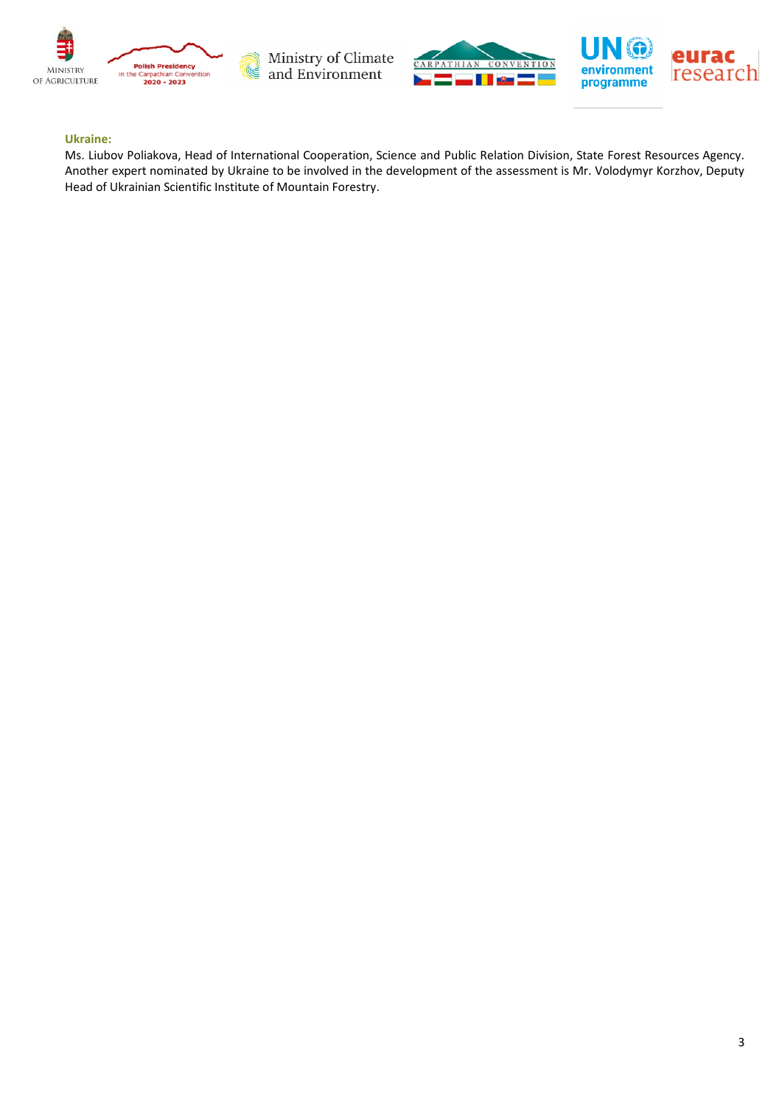







#### **Ukraine:**

Ms. Liubov Poliakova, Head of International Cooperation, Science and Public Relation Division, State Forest Resources Agency. Another expert nominated by Ukraine to be involved in the development of the assessment is Mr. Volodymyr Korzhov, Deputy Head of Ukrainian Scientific Institute of Mountain Forestry.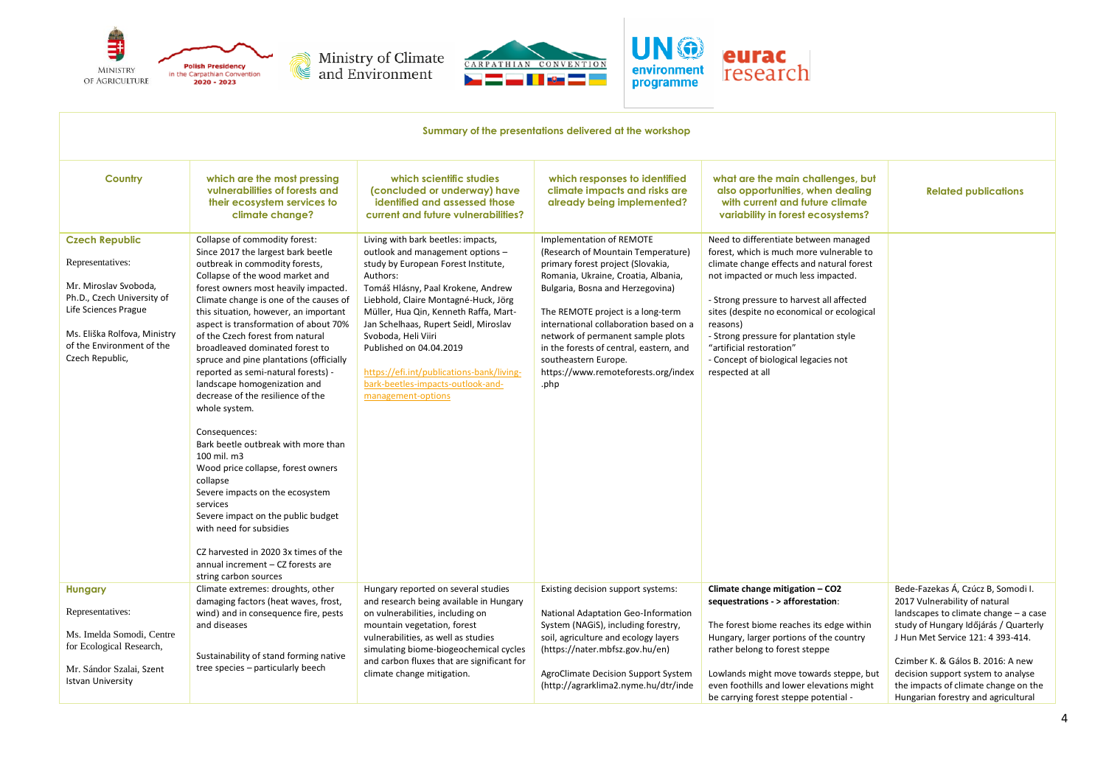





| Summary of the presentations delivered at the workshop                                                                                                                                                   |                                                                                                                                                                                                                                                                                                                                                                                                                                                                                                                                                                                                                                                                                                                                                                                                                                                                                                            |                                                                                                                                                                                                                                                                                                                                                                                                                                                     |                                                                                                                                                                                                                                                                                                                                                                                                                      |                                                                                                                                                                                                                                                                                                                                                                                                                |                                                                                                                                                                                                                                                                                                                                                      |  |  |
|----------------------------------------------------------------------------------------------------------------------------------------------------------------------------------------------------------|------------------------------------------------------------------------------------------------------------------------------------------------------------------------------------------------------------------------------------------------------------------------------------------------------------------------------------------------------------------------------------------------------------------------------------------------------------------------------------------------------------------------------------------------------------------------------------------------------------------------------------------------------------------------------------------------------------------------------------------------------------------------------------------------------------------------------------------------------------------------------------------------------------|-----------------------------------------------------------------------------------------------------------------------------------------------------------------------------------------------------------------------------------------------------------------------------------------------------------------------------------------------------------------------------------------------------------------------------------------------------|----------------------------------------------------------------------------------------------------------------------------------------------------------------------------------------------------------------------------------------------------------------------------------------------------------------------------------------------------------------------------------------------------------------------|----------------------------------------------------------------------------------------------------------------------------------------------------------------------------------------------------------------------------------------------------------------------------------------------------------------------------------------------------------------------------------------------------------------|------------------------------------------------------------------------------------------------------------------------------------------------------------------------------------------------------------------------------------------------------------------------------------------------------------------------------------------------------|--|--|
| Country                                                                                                                                                                                                  | which are the most pressing<br>vulnerabilities of forests and<br>their ecosystem services to<br>climate change?                                                                                                                                                                                                                                                                                                                                                                                                                                                                                                                                                                                                                                                                                                                                                                                            | which scientific studies<br>(concluded or underway) have<br>identified and assessed those<br>current and future vulnerabilities?                                                                                                                                                                                                                                                                                                                    | which responses to identified<br>climate impacts and risks are<br>already being implemented?                                                                                                                                                                                                                                                                                                                         | what are the main challenges, but<br>also opportunities, when dealing<br>with current and future climate<br>variability in forest ecosystems?                                                                                                                                                                                                                                                                  | <b>Related publications</b>                                                                                                                                                                                                                                                                                                                          |  |  |
| <b>Czech Republic</b><br>Representatives:<br>Mr. Miroslav Svoboda,<br>Ph.D., Czech University of<br>Life Sciences Prague<br>Ms. Eliška Rolfova, Ministry<br>of the Environment of the<br>Czech Republic, | Collapse of commodity forest:<br>Since 2017 the largest bark beetle<br>outbreak in commodity forests,<br>Collapse of the wood market and<br>forest owners most heavily impacted.<br>Climate change is one of the causes of<br>this situation, however, an important<br>aspect is transformation of about 70%<br>of the Czech forest from natural<br>broadleaved dominated forest to<br>spruce and pine plantations (officially<br>reported as semi-natural forests) -<br>landscape homogenization and<br>decrease of the resilience of the<br>whole system.<br>Consequences:<br>Bark beetle outbreak with more than<br>100 mil. m3<br>Wood price collapse, forest owners<br>collapse<br>Severe impacts on the ecosystem<br>services<br>Severe impact on the public budget<br>with need for subsidies<br>CZ harvested in 2020 3x times of the<br>annual increment - CZ forests are<br>string carbon sources | Living with bark beetles: impacts,<br>outlook and management options -<br>study by European Forest Institute,<br>Authors:<br>Tomáš Hlásny, Paal Krokene, Andrew<br>Liebhold, Claire Montagné-Huck, Jörg<br>Müller, Hua Qin, Kenneth Raffa, Mart-<br>Jan Schelhaas, Rupert Seidl, Miroslav<br>Svoboda, Heli Viiri<br>Published on 04.04.2019<br>https://efi.int/publications-bank/living-<br>bark-beetles-impacts-outlook-and-<br>management-options | Implementation of REMOTE<br>(Research of Mountain Temperature)<br>primary forest project (Slovakia,<br>Romania, Ukraine, Croatia, Albania,<br>Bulgaria, Bosna and Herzegovina)<br>The REMOTE project is a long-term<br>international collaboration based on a<br>network of permanent sample plots<br>in the forests of central, eastern, and<br>southeastern Europe.<br>https://www.remoteforests.org/index<br>.php | Need to differentiate between managed<br>forest, which is much more vulnerable to<br>climate change effects and natural forest<br>not impacted or much less impacted.<br>- Strong pressure to harvest all affected<br>sites (despite no economical or ecological<br>reasons)<br>- Strong pressure for plantation style<br>"artificial restoration"<br>- Concept of biological legacies not<br>respected at all |                                                                                                                                                                                                                                                                                                                                                      |  |  |
| <b>Hungary</b><br>Representatives:<br>Ms. Imelda Somodi, Centre<br>for Ecological Research,<br>Mr. Sándor Szalai, Szent<br><b>Istvan University</b>                                                      | Climate extremes: droughts, other<br>damaging factors (heat waves, frost,<br>wind) and in consequence fire, pests<br>and diseases<br>Sustainability of stand forming native<br>tree species - particularly beech                                                                                                                                                                                                                                                                                                                                                                                                                                                                                                                                                                                                                                                                                           | Hungary reported on several studies<br>and research being available in Hungary<br>on vulnerabilities, including on<br>mountain vegetation, forest<br>vulnerabilities, as well as studies<br>simulating biome-biogeochemical cycles<br>and carbon fluxes that are significant for<br>climate change mitigation.                                                                                                                                      | Existing decision support systems:<br>National Adaptation Geo-Information<br>System (NAGiS), including forestry,<br>soil, agriculture and ecology layers<br>(https://nater.mbfsz.gov.hu/en)<br>AgroClimate Decision Support System<br>(http://agrarklima2.nyme.hu/dtr/inde                                                                                                                                           | Climate change mitigation - CO2<br>sequestrations - > afforestation:<br>The forest biome reaches its edge within<br>Hungary, larger portions of the country<br>rather belong to forest steppe<br>Lowlands might move towards steppe, but<br>even foothills and lower elevations might<br>be carrying forest steppe potential -                                                                                 | Bede-Fazekas Á, Czúcz B, Somodi I.<br>2017 Vulnerability of natural<br>landscapes to climate change - a case<br>study of Hungary Időjárás / Quarterly<br>J Hun Met Service 121: 4 393-414.<br>Czimber K. & Gálos B. 2016: A new<br>decision support system to analyse<br>the impacts of climate change on the<br>Hungarian forestry and agricultural |  |  |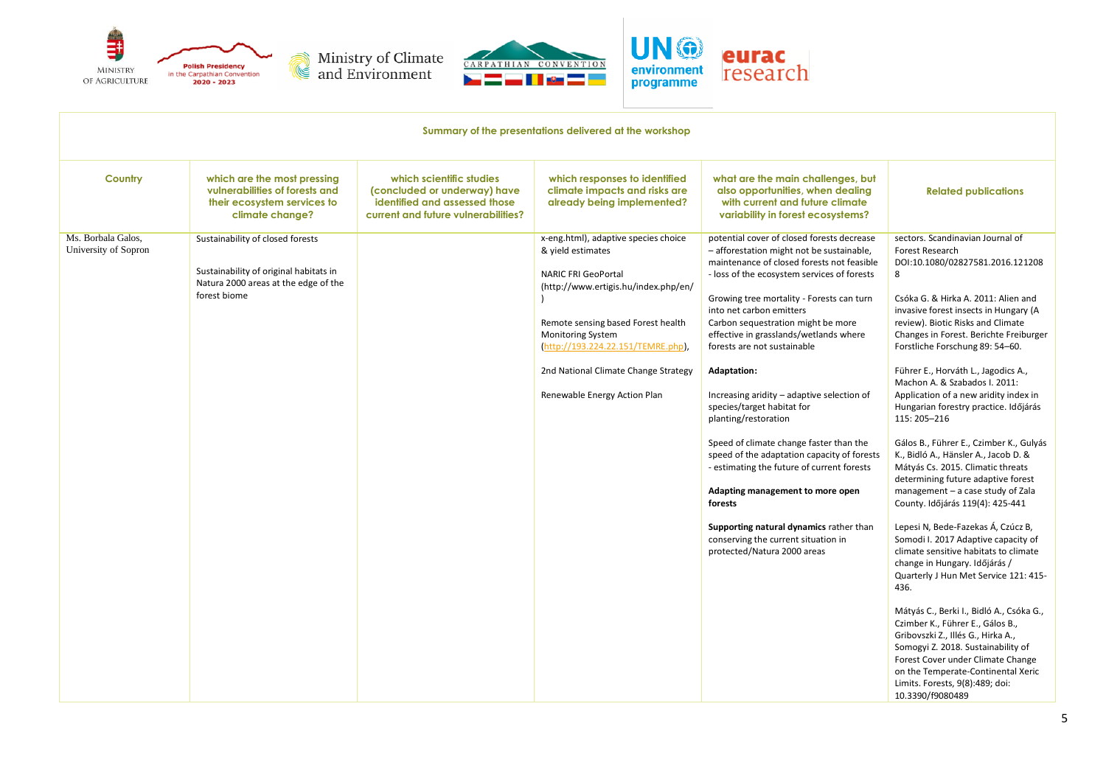

| Summary of the presentations delivered at the workshop |                                                                                                                                    |                                                                                                                                  |                                                                                                                                                                                                                                                                                                                 |                                                                                                                                                                                                                                                                                                                                                                                                                                                                                                                                                                                                                                                                                                                                                                                                                |                                                                                                                                                                                                                                                                                                                                                                                                                                                                                                                                                                                                                                                                                                                                                                                                                                                                                                                                                                                                                                                                                                                                                                                                                       |  |  |
|--------------------------------------------------------|------------------------------------------------------------------------------------------------------------------------------------|----------------------------------------------------------------------------------------------------------------------------------|-----------------------------------------------------------------------------------------------------------------------------------------------------------------------------------------------------------------------------------------------------------------------------------------------------------------|----------------------------------------------------------------------------------------------------------------------------------------------------------------------------------------------------------------------------------------------------------------------------------------------------------------------------------------------------------------------------------------------------------------------------------------------------------------------------------------------------------------------------------------------------------------------------------------------------------------------------------------------------------------------------------------------------------------------------------------------------------------------------------------------------------------|-----------------------------------------------------------------------------------------------------------------------------------------------------------------------------------------------------------------------------------------------------------------------------------------------------------------------------------------------------------------------------------------------------------------------------------------------------------------------------------------------------------------------------------------------------------------------------------------------------------------------------------------------------------------------------------------------------------------------------------------------------------------------------------------------------------------------------------------------------------------------------------------------------------------------------------------------------------------------------------------------------------------------------------------------------------------------------------------------------------------------------------------------------------------------------------------------------------------------|--|--|
| Country                                                | which are the most pressing<br>vulnerabilities of forests and<br>their ecosystem services to<br>climate change?                    | which scientific studies<br>(concluded or underway) have<br>identified and assessed those<br>current and future vulnerabilities? | which responses to identified<br>climate impacts and risks are<br>already being implemented?                                                                                                                                                                                                                    | what are the main challenges, but<br>also opportunities, when dealing<br>with current and future climate<br>variability in forest ecosystems?                                                                                                                                                                                                                                                                                                                                                                                                                                                                                                                                                                                                                                                                  | <b>Related publications</b>                                                                                                                                                                                                                                                                                                                                                                                                                                                                                                                                                                                                                                                                                                                                                                                                                                                                                                                                                                                                                                                                                                                                                                                           |  |  |
| Ms. Borbala Galos,<br>University of Sopron             | Sustainability of closed forests<br>Sustainability of original habitats in<br>Natura 2000 areas at the edge of the<br>forest biome |                                                                                                                                  | x-eng.html), adaptive species choice<br>& yield estimates<br><b>NARIC FRI GeoPortal</b><br>(http://www.ertigis.hu/index.php/en/<br>Remote sensing based Forest health<br><b>Monitoring System</b><br>(http://193.224.22.151/TEMRE.php),<br>2nd National Climate Change Strategy<br>Renewable Energy Action Plan | potential cover of closed forests decrease<br>- afforestation might not be sustainable,<br>maintenance of closed forests not feasible<br>- loss of the ecosystem services of forests<br>Growing tree mortality - Forests can turn<br>into net carbon emitters<br>Carbon sequestration might be more<br>effective in grasslands/wetlands where<br>forests are not sustainable<br><b>Adaptation:</b><br>Increasing aridity - adaptive selection of<br>species/target habitat for<br>planting/restoration<br>Speed of climate change faster than the<br>speed of the adaptation capacity of forests<br>- estimating the future of current forests<br>Adapting management to more open<br>forests<br>Supporting natural dynamics rather than<br>conserving the current situation in<br>protected/Natura 2000 areas | sectors. Scandinavian Journal of<br>Forest Research<br>DOI:10.1080/02827581.2016.121208<br>8<br>Csóka G. & Hirka A. 2011: Alien and<br>invasive forest insects in Hungary (A<br>review). Biotic Risks and Climate<br>Changes in Forest. Berichte Freiburger<br>Forstliche Forschung 89: 54-60.<br>Führer E., Horváth L., Jagodics A.,<br>Machon A. & Szabados I. 2011:<br>Application of a new aridity index in<br>Hungarian forestry practice. Időjárás<br>115: 205-216<br>Gálos B., Führer E., Czimber K., Gulyás<br>K., Bidló A., Hänsler A., Jacob D. &<br>Mátyás Cs. 2015. Climatic threats<br>determining future adaptive forest<br>management - a case study of Zala<br>County. Időjárás 119(4): 425-441<br>Lepesi N, Bede-Fazekas Á, Czúcz B,<br>Somodi I. 2017 Adaptive capacity of<br>climate sensitive habitats to climate<br>change in Hungary. Időjárás /<br>Quarterly J Hun Met Service 121: 415-<br>436.<br>Mátyás C., Berki I., Bidló A., Csóka G.,<br>Czimber K., Führer E., Gálos B.,<br>Gribovszki Z., Illés G., Hirka A.,<br>Somogyi Z. 2018. Sustainability of<br>Forest Cover under Climate Change<br>on the Temperate-Continental Xeric<br>Limits. Forests, 9(8):489; doi:<br>10.3390/f9080489 |  |  |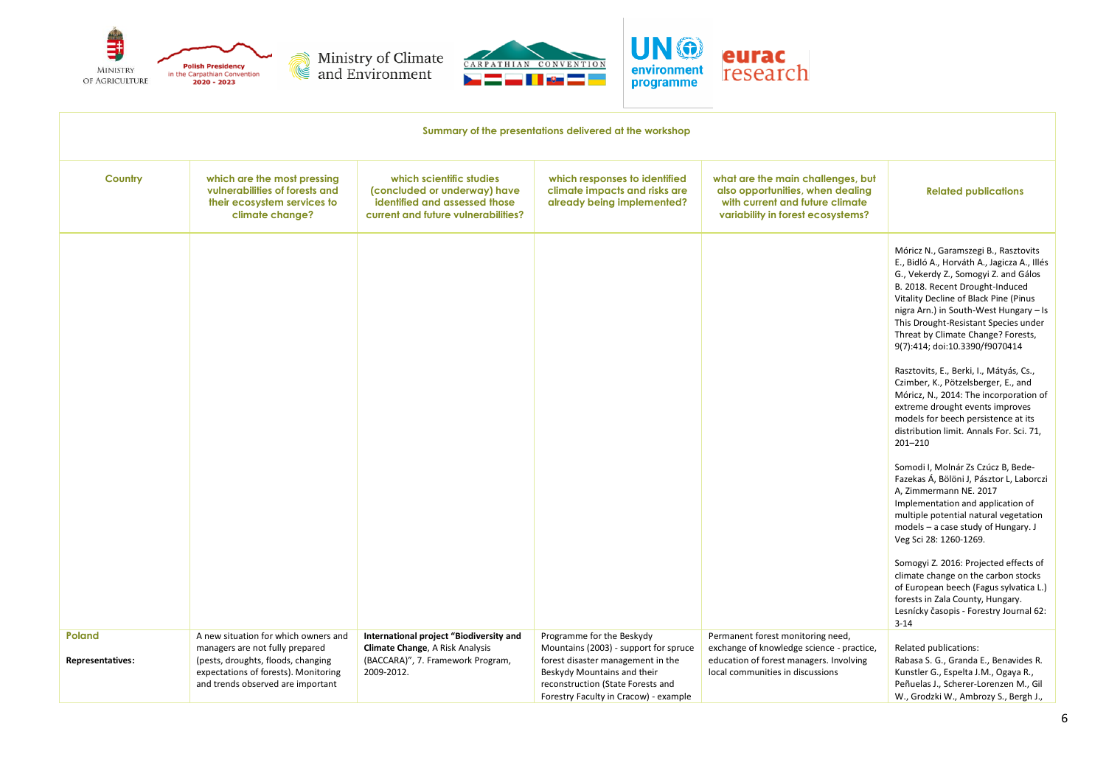

| Summary of the presentations delivered at the workshop |                                                                                                                                                                                            |                                                                                                                                  |                                                                                                                                                                                                                      |                                                                                                                                                               |                                                                                                                                                                                                                                                                                                                                                                                                                                                                                                                                                                                                                                    |  |
|--------------------------------------------------------|--------------------------------------------------------------------------------------------------------------------------------------------------------------------------------------------|----------------------------------------------------------------------------------------------------------------------------------|----------------------------------------------------------------------------------------------------------------------------------------------------------------------------------------------------------------------|---------------------------------------------------------------------------------------------------------------------------------------------------------------|------------------------------------------------------------------------------------------------------------------------------------------------------------------------------------------------------------------------------------------------------------------------------------------------------------------------------------------------------------------------------------------------------------------------------------------------------------------------------------------------------------------------------------------------------------------------------------------------------------------------------------|--|
| Country                                                | which are the most pressing<br>vulnerabilities of forests and<br>their ecosystem services to<br>climate change?                                                                            | which scientific studies<br>(concluded or underway) have<br>identified and assessed those<br>current and future vulnerabilities? | which responses to identified<br>climate impacts and risks are<br>already being implemented?                                                                                                                         | what are the main challenges, but<br>also opportunities, when dealing<br>with current and future climate<br>variability in forest ecosystems?                 | <b>Related publications</b>                                                                                                                                                                                                                                                                                                                                                                                                                                                                                                                                                                                                        |  |
|                                                        |                                                                                                                                                                                            |                                                                                                                                  |                                                                                                                                                                                                                      |                                                                                                                                                               | Móricz N., Garamszegi B., Rasztovits<br>E., Bidló A., Horváth A., Jagicza A., Illés<br>G., Vekerdy Z., Somogyi Z. and Gálos<br>B. 2018. Recent Drought-Induced<br>Vitality Decline of Black Pine (Pinus<br>nigra Arn.) in South-West Hungary - Is<br>This Drought-Resistant Species under<br>Threat by Climate Change? Forests,<br>9(7):414; doi:10.3390/f9070414<br>Rasztovits, E., Berki, I., Mátyás, Cs.,<br>Czimber, K., Pötzelsberger, E., and<br>Móricz, N., 2014: The incorporation of<br>extreme drought events improves<br>models for beech persistence at its<br>distribution limit. Annals For. Sci. 71,<br>$201 - 210$ |  |
|                                                        |                                                                                                                                                                                            |                                                                                                                                  |                                                                                                                                                                                                                      |                                                                                                                                                               | Somodi I, Molnár Zs Czúcz B, Bede-<br>Fazekas Á, Bölöni J, Pásztor L, Laborczi<br>A, Zimmermann NE. 2017<br>Implementation and application of<br>multiple potential natural vegetation<br>models - a case study of Hungary. J<br>Veg Sci 28: 1260-1269.                                                                                                                                                                                                                                                                                                                                                                            |  |
|                                                        |                                                                                                                                                                                            |                                                                                                                                  |                                                                                                                                                                                                                      |                                                                                                                                                               | Somogyi Z. 2016: Projected effects of<br>climate change on the carbon stocks<br>of European beech (Fagus sylvatica L.)<br>forests in Zala County, Hungary.<br>Lesnícky časopis - Forestry Journal 62:<br>$3 - 14$                                                                                                                                                                                                                                                                                                                                                                                                                  |  |
| <b>Poland</b><br><b>Representatives:</b>               | A new situation for which owners and<br>managers are not fully prepared<br>(pests, droughts, floods, changing<br>expectations of forests). Monitoring<br>and trends observed are important | International project "Biodiversity and<br>Climate Change, A Risk Analysis<br>(BACCARA)", 7. Framework Program,<br>2009-2012.    | Programme for the Beskydy<br>Mountains (2003) - support for spruce<br>forest disaster management in the<br>Beskydy Mountains and their<br>reconstruction (State Forests and<br>Forestry Faculty in Cracow) - example | Permanent forest monitoring need,<br>exchange of knowledge science - practice,<br>education of forest managers. Involving<br>local communities in discussions | Related publications:<br>Rabasa S. G., Granda E., Benavides R.<br>Kunstler G., Espelta J.M., Ogaya R.,<br>Peñuelas J., Scherer-Lorenzen M., Gil<br>W., Grodzki W., Ambrozy S., Bergh J.,                                                                                                                                                                                                                                                                                                                                                                                                                                           |  |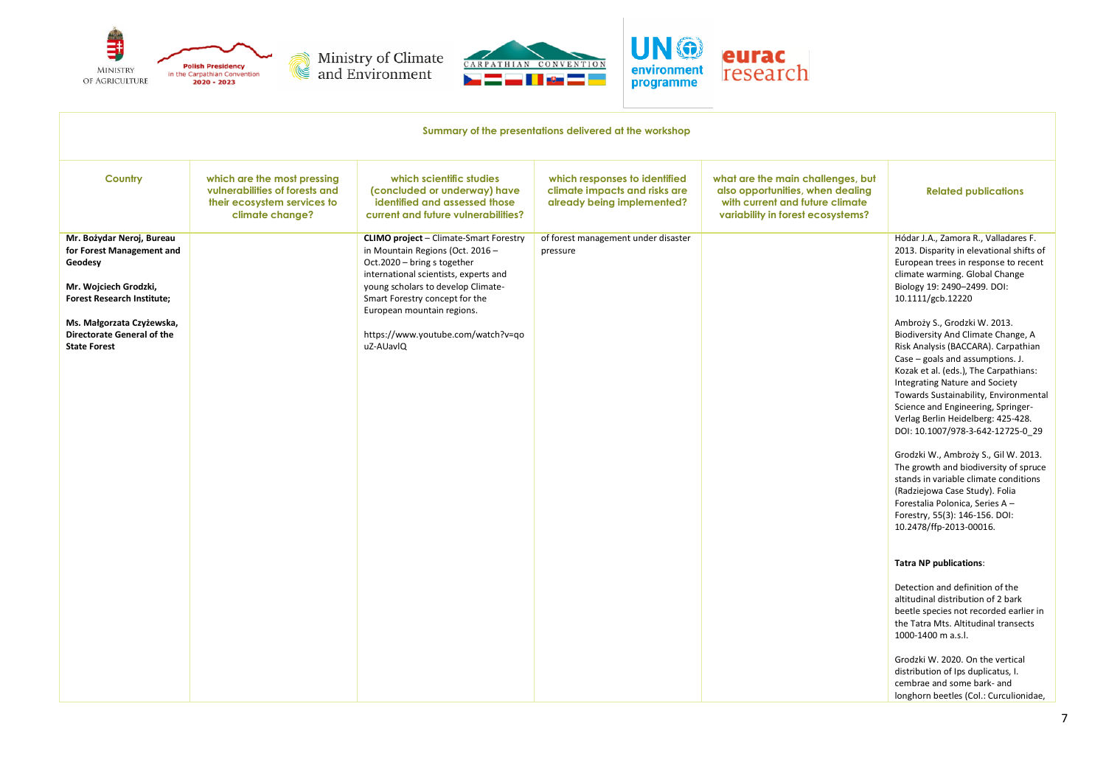

| Summary of the presentations delivered at the workshop                                                                                                                                                            |                                                                                                                 |                                                                                                                                                                                                                                                                                                                    |                                                                                              |                                                                                                                                               |                                                                                                                                                                                                                                                                                                                                                                                                                                                                                                                                                                                                                                                                                                                                                                                                                                                                                                                                                                                                                                                                                                                                                                                                                                            |  |
|-------------------------------------------------------------------------------------------------------------------------------------------------------------------------------------------------------------------|-----------------------------------------------------------------------------------------------------------------|--------------------------------------------------------------------------------------------------------------------------------------------------------------------------------------------------------------------------------------------------------------------------------------------------------------------|----------------------------------------------------------------------------------------------|-----------------------------------------------------------------------------------------------------------------------------------------------|--------------------------------------------------------------------------------------------------------------------------------------------------------------------------------------------------------------------------------------------------------------------------------------------------------------------------------------------------------------------------------------------------------------------------------------------------------------------------------------------------------------------------------------------------------------------------------------------------------------------------------------------------------------------------------------------------------------------------------------------------------------------------------------------------------------------------------------------------------------------------------------------------------------------------------------------------------------------------------------------------------------------------------------------------------------------------------------------------------------------------------------------------------------------------------------------------------------------------------------------|--|
| Country                                                                                                                                                                                                           | which are the most pressing<br>vulnerabilities of forests and<br>their ecosystem services to<br>climate change? | which scientific studies<br>(concluded or underway) have<br>identified and assessed those<br>current and future vulnerabilities?                                                                                                                                                                                   | which responses to identified<br>climate impacts and risks are<br>already being implemented? | what are the main challenges, but<br>also opportunities, when dealing<br>with current and future climate<br>variability in forest ecosystems? | <b>Related publications</b>                                                                                                                                                                                                                                                                                                                                                                                                                                                                                                                                                                                                                                                                                                                                                                                                                                                                                                                                                                                                                                                                                                                                                                                                                |  |
| Mr. Bożydar Neroj, Bureau<br>for Forest Management and<br>Geodesy<br>Mr. Wojciech Grodzki,<br><b>Forest Research Institute;</b><br>Ms. Małgorzata Czyżewska,<br>Directorate General of the<br><b>State Forest</b> |                                                                                                                 | <b>CLIMO project - Climate-Smart Forestry</b><br>in Mountain Regions (Oct. 2016 -<br>Oct.2020 - bring s together<br>international scientists, experts and<br>young scholars to develop Climate-<br>Smart Forestry concept for the<br>European mountain regions.<br>https://www.youtube.com/watch?v=qo<br>uZ-AUavlQ | of forest management under disaster<br>pressure                                              |                                                                                                                                               | Hódar J.A., Zamora R., Valladares F.<br>2013. Disparity in elevational shifts of<br>European trees in response to recent<br>climate warming. Global Change<br>Biology 19: 2490-2499. DOI:<br>10.1111/gcb.12220<br>Ambroży S., Grodzki W. 2013.<br>Biodiversity And Climate Change, A<br>Risk Analysis (BACCARA). Carpathian<br>Case - goals and assumptions. J.<br>Kozak et al. (eds.), The Carpathians:<br><b>Integrating Nature and Society</b><br>Towards Sustainability, Environmental<br>Science and Engineering, Springer-<br>Verlag Berlin Heidelberg: 425-428.<br>DOI: 10.1007/978-3-642-12725-0 29<br>Grodzki W., Ambroży S., Gil W. 2013.<br>The growth and biodiversity of spruce<br>stands in variable climate conditions<br>(Radziejowa Case Study). Folia<br>Forestalia Polonica, Series A-<br>Forestry, 55(3): 146-156. DOI:<br>10.2478/ffp-2013-00016.<br><b>Tatra NP publications:</b><br>Detection and definition of the<br>altitudinal distribution of 2 bark<br>beetle species not recorded earlier in<br>the Tatra Mts. Altitudinal transects<br>1000-1400 m a.s.l.<br>Grodzki W. 2020. On the vertical<br>distribution of Ips duplicatus, I.<br>cembrae and some bark- and<br>longhorn beetles (Col.: Curculionidae, |  |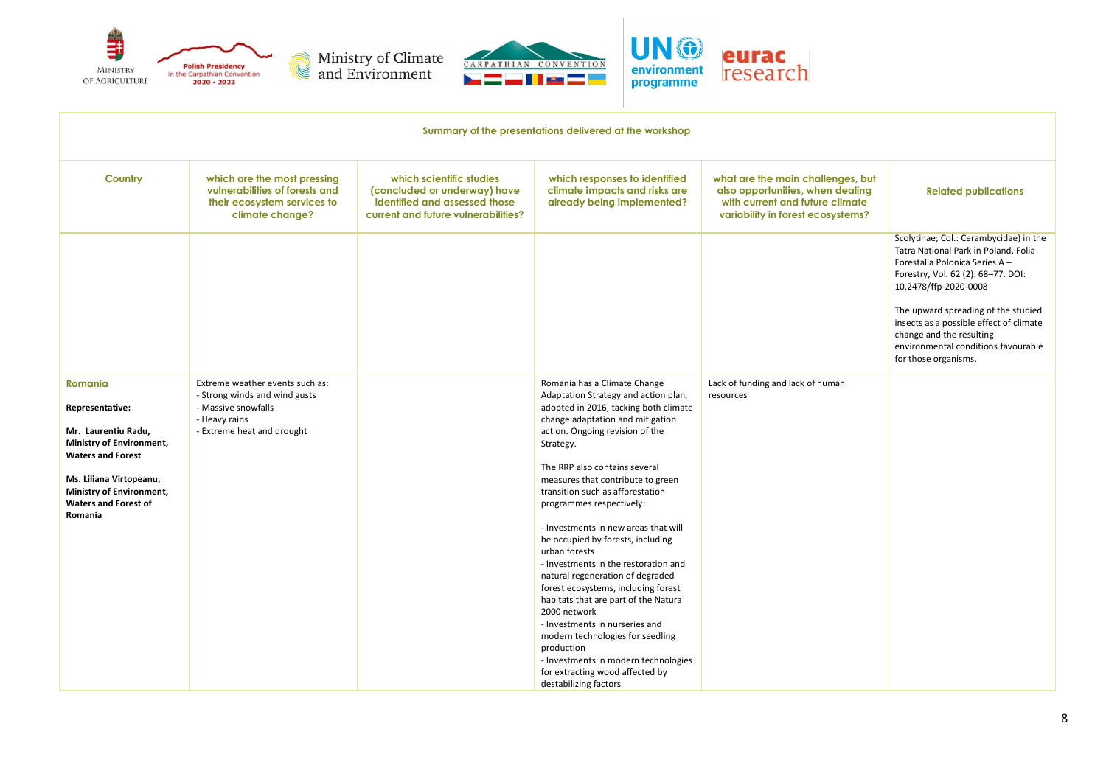

| Summary of the presentations delivered at the workshop                                                                                                                                                     |                                                                                                                                        |                                                                                                                                  |                                                                                                                                                                                                                                                                                                                                                                                                                                                                                                                                                                                                                                                                                                                                                                                                          |                                                                                                                                               |                                                                                                                                                                                                                                                                                                                                                             |  |
|------------------------------------------------------------------------------------------------------------------------------------------------------------------------------------------------------------|----------------------------------------------------------------------------------------------------------------------------------------|----------------------------------------------------------------------------------------------------------------------------------|----------------------------------------------------------------------------------------------------------------------------------------------------------------------------------------------------------------------------------------------------------------------------------------------------------------------------------------------------------------------------------------------------------------------------------------------------------------------------------------------------------------------------------------------------------------------------------------------------------------------------------------------------------------------------------------------------------------------------------------------------------------------------------------------------------|-----------------------------------------------------------------------------------------------------------------------------------------------|-------------------------------------------------------------------------------------------------------------------------------------------------------------------------------------------------------------------------------------------------------------------------------------------------------------------------------------------------------------|--|
| Country                                                                                                                                                                                                    | which are the most pressing<br>vulnerabilities of forests and<br>their ecosystem services to<br>climate change?                        | which scientific studies<br>(concluded or underway) have<br>identified and assessed those<br>current and future vulnerabilities? | which responses to identified<br>climate impacts and risks are<br>already being implemented?                                                                                                                                                                                                                                                                                                                                                                                                                                                                                                                                                                                                                                                                                                             | what are the main challenges, but<br>also opportunities, when dealing<br>with current and future climate<br>variability in forest ecosystems? | <b>Related publications</b>                                                                                                                                                                                                                                                                                                                                 |  |
|                                                                                                                                                                                                            |                                                                                                                                        |                                                                                                                                  |                                                                                                                                                                                                                                                                                                                                                                                                                                                                                                                                                                                                                                                                                                                                                                                                          |                                                                                                                                               | Scolytinae; Col.: Cerambycidae) in the<br>Tatra National Park in Poland. Folia<br>Forestalia Polonica Series A-<br>Forestry, Vol. 62 (2): 68-77. DOI:<br>10.2478/ffp-2020-0008<br>The upward spreading of the studied<br>insects as a possible effect of climate<br>change and the resulting<br>environmental conditions favourable<br>for those organisms. |  |
| Romania<br>Representative:<br>Mr. Laurentiu Radu,<br>Ministry of Environment,<br><b>Waters and Forest</b><br>Ms. Liliana Virtopeanu,<br>Ministry of Environment,<br><b>Waters and Forest of</b><br>Romania | Extreme weather events such as:<br>- Strong winds and wind gusts<br>- Massive snowfalls<br>- Heavy rains<br>- Extreme heat and drought |                                                                                                                                  | Romania has a Climate Change<br>Adaptation Strategy and action plan,<br>adopted in 2016, tacking both climate<br>change adaptation and mitigation<br>action. Ongoing revision of the<br>Strategy.<br>The RRP also contains several<br>measures that contribute to green<br>transition such as afforestation<br>programmes respectively:<br>- Investments in new areas that will<br>be occupied by forests, including<br>urban forests<br>- Investments in the restoration and<br>natural regeneration of degraded<br>forest ecosystems, including forest<br>habitats that are part of the Natura<br>2000 network<br>- Investments in nurseries and<br>modern technologies for seedling<br>production<br>- Investments in modern technologies<br>for extracting wood affected by<br>destabilizing factors | Lack of funding and lack of human<br>resources                                                                                                |                                                                                                                                                                                                                                                                                                                                                             |  |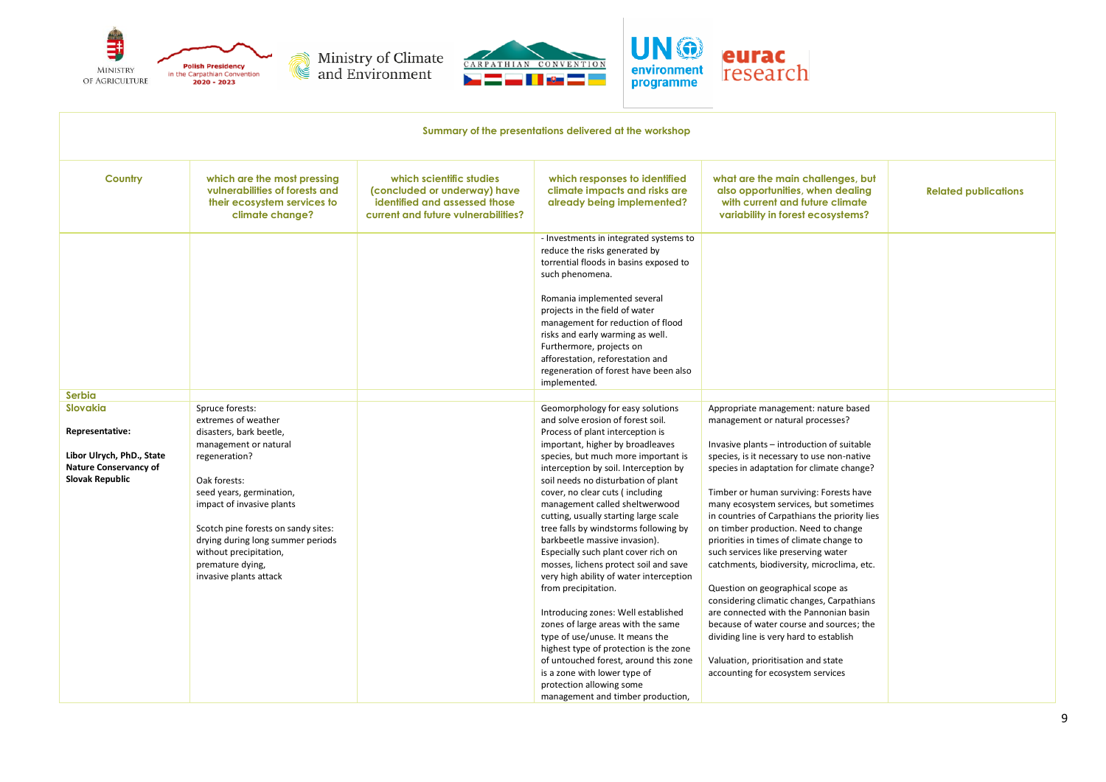

| Summary of the presentations delivered at the workshop                                                      |                                                                                                                                                                                                                                                                                                                                          |                                                                                                                                  |                                                                                                                                                                                                                                                                                                                                                                                                                                                                                                                                                                                                                                                                                                                                                                                                                                                                                                                    |                                                                                                                                                                                                                                                                                                                                                                                                                                                                                                                                                                                                                                                                                                                                                                                                                                 |                             |  |
|-------------------------------------------------------------------------------------------------------------|------------------------------------------------------------------------------------------------------------------------------------------------------------------------------------------------------------------------------------------------------------------------------------------------------------------------------------------|----------------------------------------------------------------------------------------------------------------------------------|--------------------------------------------------------------------------------------------------------------------------------------------------------------------------------------------------------------------------------------------------------------------------------------------------------------------------------------------------------------------------------------------------------------------------------------------------------------------------------------------------------------------------------------------------------------------------------------------------------------------------------------------------------------------------------------------------------------------------------------------------------------------------------------------------------------------------------------------------------------------------------------------------------------------|---------------------------------------------------------------------------------------------------------------------------------------------------------------------------------------------------------------------------------------------------------------------------------------------------------------------------------------------------------------------------------------------------------------------------------------------------------------------------------------------------------------------------------------------------------------------------------------------------------------------------------------------------------------------------------------------------------------------------------------------------------------------------------------------------------------------------------|-----------------------------|--|
| Country                                                                                                     | which are the most pressing<br>vulnerabilities of forests and<br>their ecosystem services to<br>climate change?                                                                                                                                                                                                                          | which scientific studies<br>(concluded or underway) have<br>identified and assessed those<br>current and future vulnerabilities? | which responses to identified<br>climate impacts and risks are<br>already being implemented?                                                                                                                                                                                                                                                                                                                                                                                                                                                                                                                                                                                                                                                                                                                                                                                                                       | what are the main challenges, but<br>also opportunities, when dealing<br>with current and future climate<br>variability in forest ecosystems?                                                                                                                                                                                                                                                                                                                                                                                                                                                                                                                                                                                                                                                                                   | <b>Related publications</b> |  |
|                                                                                                             |                                                                                                                                                                                                                                                                                                                                          |                                                                                                                                  | - Investments in integrated systems to<br>reduce the risks generated by<br>torrential floods in basins exposed to<br>such phenomena.                                                                                                                                                                                                                                                                                                                                                                                                                                                                                                                                                                                                                                                                                                                                                                               |                                                                                                                                                                                                                                                                                                                                                                                                                                                                                                                                                                                                                                                                                                                                                                                                                                 |                             |  |
|                                                                                                             |                                                                                                                                                                                                                                                                                                                                          |                                                                                                                                  | Romania implemented several<br>projects in the field of water<br>management for reduction of flood<br>risks and early warming as well.<br>Furthermore, projects on<br>afforestation, reforestation and<br>regeneration of forest have been also<br>implemented.                                                                                                                                                                                                                                                                                                                                                                                                                                                                                                                                                                                                                                                    |                                                                                                                                                                                                                                                                                                                                                                                                                                                                                                                                                                                                                                                                                                                                                                                                                                 |                             |  |
| <b>Serbia</b>                                                                                               |                                                                                                                                                                                                                                                                                                                                          |                                                                                                                                  |                                                                                                                                                                                                                                                                                                                                                                                                                                                                                                                                                                                                                                                                                                                                                                                                                                                                                                                    |                                                                                                                                                                                                                                                                                                                                                                                                                                                                                                                                                                                                                                                                                                                                                                                                                                 |                             |  |
| <b>Slovakia</b><br>Representative:<br>Libor Ulrych, PhD., State<br>Nature Conservancy of<br>Slovak Republic | Spruce forests:<br>extremes of weather<br>disasters, bark beetle,<br>management or natural<br>regeneration?<br>Oak forests:<br>seed years, germination,<br>impact of invasive plants<br>Scotch pine forests on sandy sites:<br>drying during long summer periods<br>without precipitation,<br>premature dying,<br>invasive plants attack |                                                                                                                                  | Geomorphology for easy solutions<br>and solve erosion of forest soil.<br>Process of plant interception is<br>important, higher by broadleaves<br>species, but much more important is<br>interception by soil. Interception by<br>soil needs no disturbation of plant<br>cover, no clear cuts (including<br>management called sheltwerwood<br>cutting, usually starting large scale<br>tree falls by windstorms following by<br>barkbeetle massive invasion).<br>Especially such plant cover rich on<br>mosses, lichens protect soil and save<br>very high ability of water interception<br>from precipitation.<br>Introducing zones: Well established<br>zones of large areas with the same<br>type of use/unuse. It means the<br>highest type of protection is the zone<br>of untouched forest, around this zone<br>is a zone with lower type of<br>protection allowing some<br>management and timber production, | Appropriate management: nature based<br>management or natural processes?<br>Invasive plants - introduction of suitable<br>species, is it necessary to use non-native<br>species in adaptation for climate change?<br>Timber or human surviving: Forests have<br>many ecosystem services, but sometimes<br>in countries of Carpathians the priority lies<br>on timber production. Need to change<br>priorities in times of climate change to<br>such services like preserving water<br>catchments, biodiversity, microclima, etc.<br>Question on geographical scope as<br>considering climatic changes, Carpathians<br>are connected with the Pannonian basin<br>because of water course and sources; the<br>dividing line is very hard to establish<br>Valuation, prioritisation and state<br>accounting for ecosystem services |                             |  |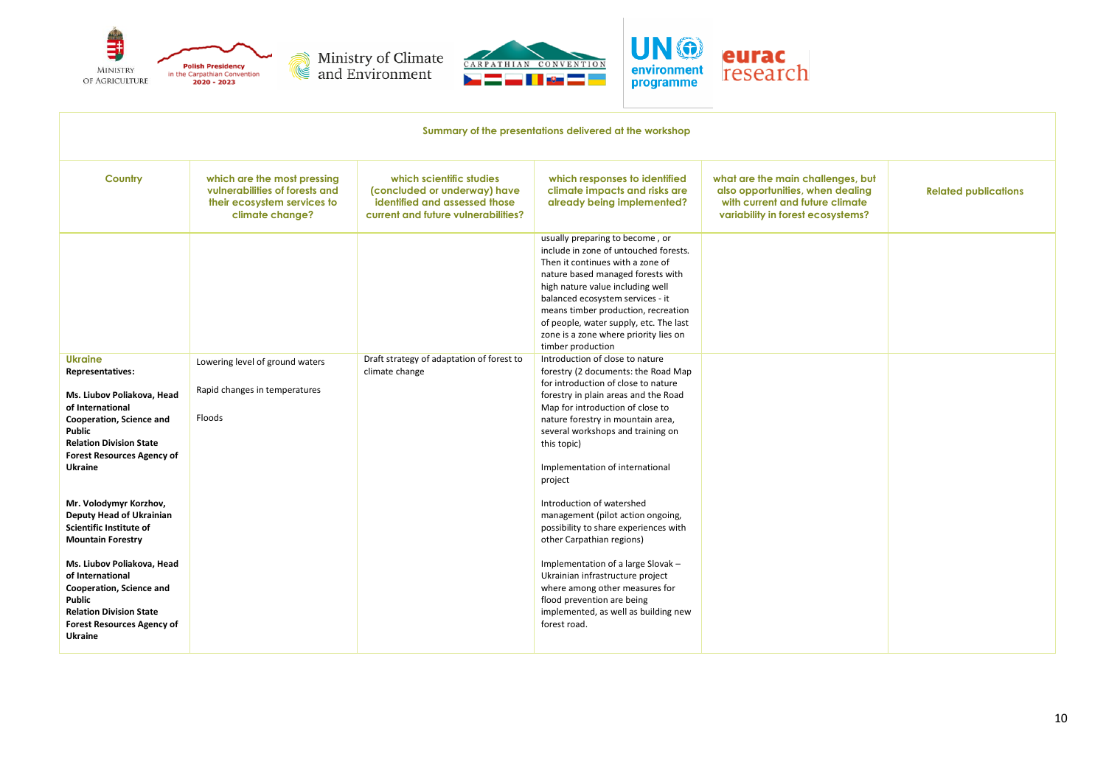

| Summary of the presentations delivered at the workshop                                                                                                                                                                            |                                                                                                                 |                                                                                                                                  |                                                                                                                                                                                                                                                                                                                                                                          |                                                                                                                                               |                             |  |  |
|-----------------------------------------------------------------------------------------------------------------------------------------------------------------------------------------------------------------------------------|-----------------------------------------------------------------------------------------------------------------|----------------------------------------------------------------------------------------------------------------------------------|--------------------------------------------------------------------------------------------------------------------------------------------------------------------------------------------------------------------------------------------------------------------------------------------------------------------------------------------------------------------------|-----------------------------------------------------------------------------------------------------------------------------------------------|-----------------------------|--|--|
| Country                                                                                                                                                                                                                           | which are the most pressing<br>vulnerabilities of forests and<br>their ecosystem services to<br>climate change? | which scientific studies<br>(concluded or underway) have<br>identified and assessed those<br>current and future vulnerabilities? | which responses to identified<br>climate impacts and risks are<br>already being implemented?                                                                                                                                                                                                                                                                             | what are the main challenges, but<br>also opportunities, when dealing<br>with current and future climate<br>variability in forest ecosystems? | <b>Related publications</b> |  |  |
|                                                                                                                                                                                                                                   |                                                                                                                 |                                                                                                                                  | usually preparing to become, or<br>include in zone of untouched forests.<br>Then it continues with a zone of<br>nature based managed forests with<br>high nature value including well<br>balanced ecosystem services - it<br>means timber production, recreation<br>of people, water supply, etc. The last<br>zone is a zone where priority lies on<br>timber production |                                                                                                                                               |                             |  |  |
| <b>Ukraine</b><br><b>Representatives:</b><br>Ms. Liubov Poliakova, Head<br>of International<br>Cooperation, Science and<br><b>Public</b><br><b>Relation Division State</b><br><b>Forest Resources Agency of</b><br><b>Ukraine</b> | Lowering level of ground waters<br>Rapid changes in temperatures<br>Floods                                      | Draft strategy of adaptation of forest to<br>climate change                                                                      | Introduction of close to nature<br>forestry (2 documents: the Road Map<br>for introduction of close to nature<br>forestry in plain areas and the Road<br>Map for introduction of close to<br>nature forestry in mountain area,<br>several workshops and training on<br>this topic)<br>Implementation of international<br>project                                         |                                                                                                                                               |                             |  |  |
| Mr. Volodymyr Korzhov,<br>Deputy Head of Ukrainian<br>Scientific Institute of<br><b>Mountain Forestry</b>                                                                                                                         |                                                                                                                 |                                                                                                                                  | Introduction of watershed<br>management (pilot action ongoing,<br>possibility to share experiences with<br>other Carpathian regions)                                                                                                                                                                                                                                     |                                                                                                                                               |                             |  |  |
| Ms. Liubov Poliakova, Head<br>of International<br>Cooperation, Science and<br>Public<br><b>Relation Division State</b><br><b>Forest Resources Agency of</b><br>Ukraine                                                            |                                                                                                                 |                                                                                                                                  | Implementation of a large Slovak -<br>Ukrainian infrastructure project<br>where among other measures for<br>flood prevention are being<br>implemented, as well as building new<br>forest road.                                                                                                                                                                           |                                                                                                                                               |                             |  |  |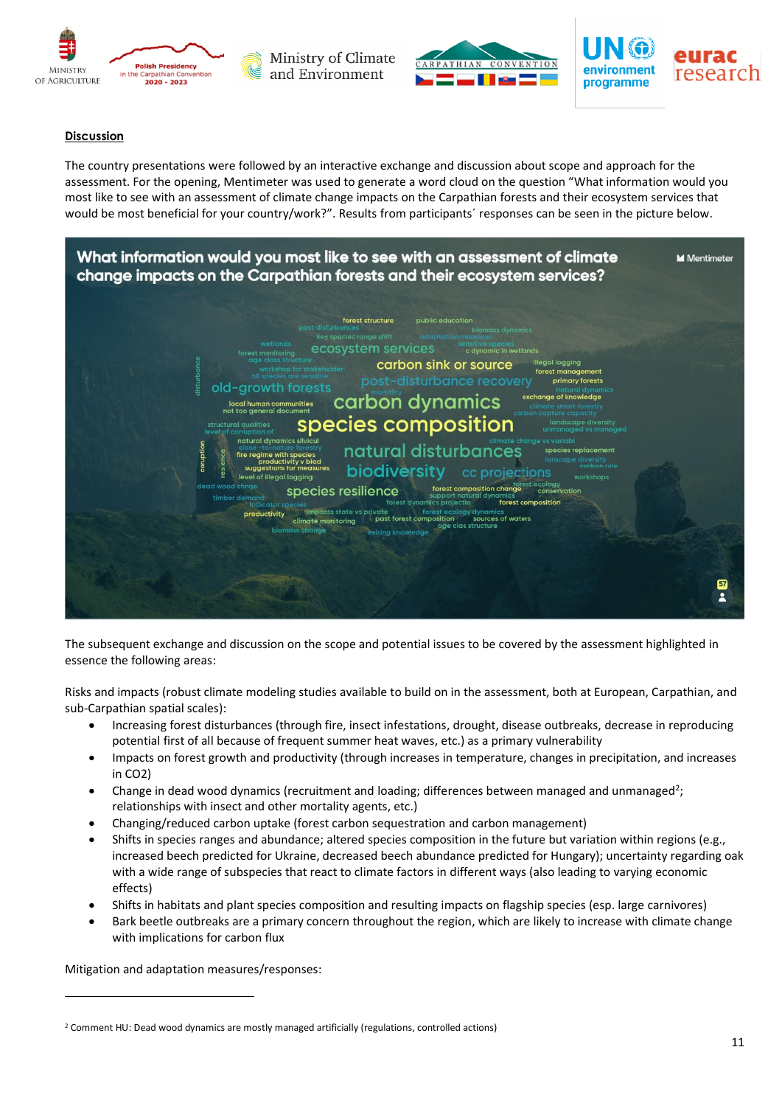





## **Discussion**

The country presentations were followed by an interactive exchange and discussion about scope and approach for the assessment. For the opening, Mentimeter was used to generate a word cloud on the question "What information would you most like to see with an assessment of climate change impacts on the Carpathian forests and their ecosystem services that would be most beneficial for your country/work?". Results from participants´ responses can be seen in the picture below.



The subsequent exchange and discussion on the scope and potential issues to be covered by the assessment highlighted in essence the following areas:

Risks and impacts (robust climate modeling studies available to build on in the assessment, both at European, Carpathian, and sub-Carpathian spatial scales):

- Increasing forest disturbances (through fire, insect infestations, drought, disease outbreaks, decrease in reproducing potential first of all because of frequent summer heat waves, etc.) as a primary vulnerability
- Impacts on forest growth and productivity (through increases in temperature, changes in precipitation, and increases in CO2)
- Change in dead wood dynamics (recruitment and loading; differences between managed and unmanaged<sup>2</sup>; relationships with insect and other mortality agents, etc.)
- Changing/reduced carbon uptake (forest carbon sequestration and carbon management)
- Shifts in species ranges and abundance; altered species composition in the future but variation within regions (e.g., increased beech predicted for Ukraine, decreased beech abundance predicted for Hungary); uncertainty regarding oak with a wide range of subspecies that react to climate factors in different ways (also leading to varying economic effects)
- Shifts in habitats and plant species composition and resulting impacts on flagship species (esp. large carnivores)
- Bark beetle outbreaks are a primary concern throughout the region, which are likely to increase with climate change with implications for carbon flux

Mitigation and adaptation measures/responses:

<sup>&</sup>lt;sup>2</sup> Comment HU: Dead wood dynamics are mostly managed artificially (regulations, controlled actions)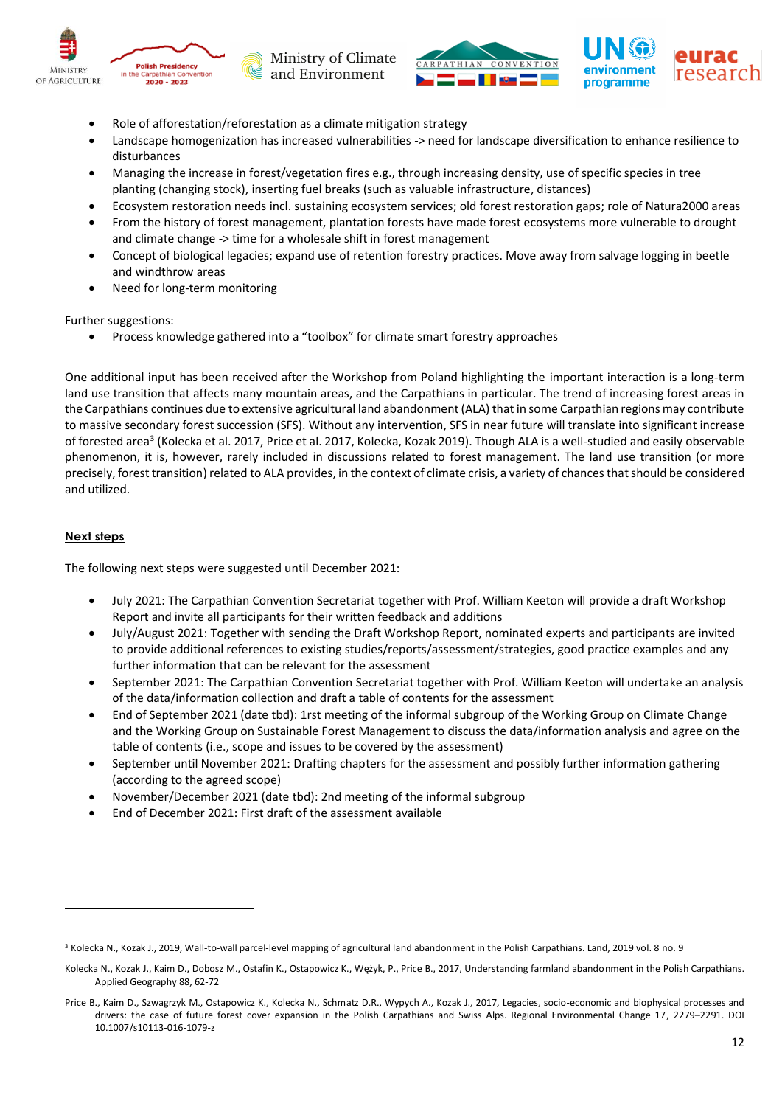





- Role of afforestation/reforestation as a climate mitigation strategy
- Landscape homogenization has increased vulnerabilities -> need for landscape diversification to enhance resilience to disturbances
- Managing the increase in forest/vegetation fires e.g., through increasing density, use of specific species in tree planting (changing stock), inserting fuel breaks (such as valuable infrastructure, distances)
- Ecosystem restoration needs incl. sustaining ecosystem services; old forest restoration gaps; role of Natura2000 areas
- From the history of forest management, plantation forests have made forest ecosystems more vulnerable to drought and climate change -> time for a wholesale shift in forest management
- Concept of biological legacies; expand use of retention forestry practices. Move away from salvage logging in beetle and windthrow areas
- Need for long-term monitoring

Further suggestions:

• Process knowledge gathered into a "toolbox" for climate smart forestry approaches

One additional input has been received after the Workshop from Poland highlighting the important interaction is a long-term land use transition that affects many mountain areas, and the Carpathians in particular. The trend of increasing forest areas in the Carpathians continues due to extensive agricultural land abandonment (ALA) that in some Carpathian regions may contribute to massive secondary forest succession (SFS). Without any intervention, SFS in near future will translate into significant increase of forested area<sup>3</sup> (Kolecka et al. 2017, Price et al. 2017, Kolecka, Kozak 2019). Though ALA is a well-studied and easily observable phenomenon, it is, however, rarely included in discussions related to forest management. The land use transition (or more precisely, forest transition) related to ALA provides, in the context of climate crisis, a variety of chances that should be considered and utilized.

## **Next steps**

The following next steps were suggested until December 2021:

- July 2021: The Carpathian Convention Secretariat together with Prof. William Keeton will provide a draft Workshop Report and invite all participants for their written feedback and additions
- July/August 2021: Together with sending the Draft Workshop Report, nominated experts and participants are invited to provide additional references to existing studies/reports/assessment/strategies, good practice examples and any further information that can be relevant for the assessment
- September 2021: The Carpathian Convention Secretariat together with Prof. William Keeton will undertake an analysis of the data/information collection and draft a table of contents for the assessment
- End of September 2021 (date tbd): 1rst meeting of the informal subgroup of the Working Group on Climate Change and the Working Group on Sustainable Forest Management to discuss the data/information analysis and agree on the table of contents (i.e., scope and issues to be covered by the assessment)
- September until November 2021: Drafting chapters for the assessment and possibly further information gathering (according to the agreed scope)
- November/December 2021 (date tbd): 2nd meeting of the informal subgroup
- End of December 2021: First draft of the assessment available

<sup>&</sup>lt;sup>3</sup> Kolecka N., Kozak J., 2019, Wall-to-wall parcel-level mapping of agricultural land abandonment in the Polish Carpathians. Land, 2019 vol. 8 no. 9

Kolecka N., Kozak J., Kaim D., Dobosz M., Ostafin K., Ostapowicz K., Wężyk, P., Price B., 2017, Understanding farmland abandonment in the Polish Carpathians. Applied Geography 88, 62-72

Price B., Kaim D., Szwagrzyk M., Ostapowicz K., Kolecka N., Schmatz D.R., Wypych A., Kozak J., 2017, Legacies, socio-economic and biophysical processes and drivers: the case of future forest cover expansion in the Polish Carpathians and Swiss Alps. Regional Environmental Change 17, 2279–2291. DOI 10.1007/s10113-016-1079-z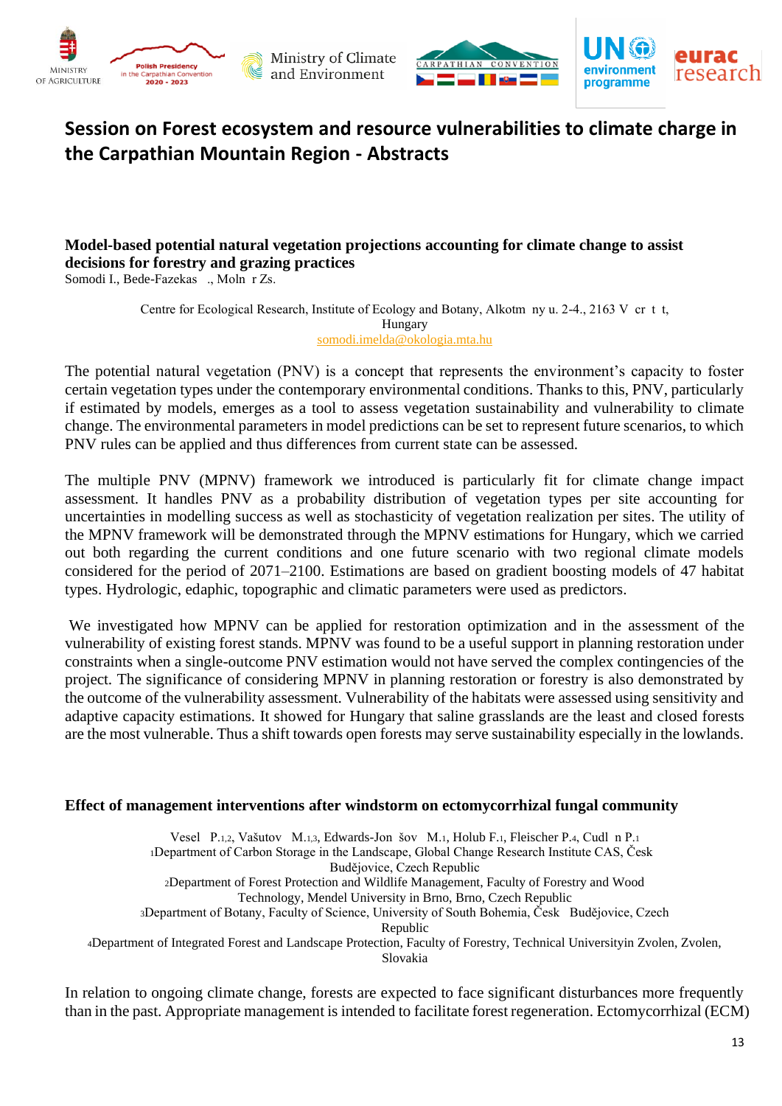





# **Session on Forest ecosystem and resource vulnerabilities to climate charge in the Carpathian Mountain Region - Abstracts**

**Model-based potential natural vegetation projections accounting for climate change to assist decisions for forestry and grazing practices**

Somodi I., Bede-Fazekas ., Moln r Zs.

Centre for Ecological Research, Institute of Ecology and Botany, Alkotm ny u. 2-4., 2163 V cr t t, Hungary [somodi.imelda@okologia.mta.hu](mailto:somodi.imelda@okologia.mta.hu)

The potential natural vegetation (PNV) is a concept that represents the environment's capacity to foster certain vegetation types under the contemporary environmental conditions. Thanks to this, PNV, particularly if estimated by models, emerges as a tool to assess vegetation sustainability and vulnerability to climate change. The environmental parameters in model predictions can be set to represent future scenarios, to which PNV rules can be applied and thus differences from current state can be assessed.

The multiple PNV (MPNV) framework we introduced is particularly fit for climate change impact assessment. It handles PNV as a probability distribution of vegetation types per site accounting for uncertainties in modelling success as well as stochasticity of vegetation realization per sites. The utility of the MPNV framework will be demonstrated through the MPNV estimations for Hungary, which we carried out both regarding the current conditions and one future scenario with two regional climate models considered for the period of 2071–2100. Estimations are based on gradient boosting models of 47 habitat types. Hydrologic, edaphic, topographic and climatic parameters were used as predictors.

We investigated how MPNV can be applied for restoration optimization and in the assessment of the vulnerability of existing forest stands. MPNV was found to be a useful support in planning restoration under constraints when a single-outcome PNV estimation would not have served the complex contingencies of the project. The significance of considering MPNV in planning restoration or forestry is also demonstrated by the outcome of the vulnerability assessment. Vulnerability of the habitats were assessed using sensitivity and adaptive capacity estimations. It showed for Hungary that saline grasslands are the least and closed forests are the most vulnerable. Thus a shift towards open forests may serve sustainability especially in the lowlands.

## **Effect of management interventions after windstorm on ectomycorrhizal fungal community**

Vesel P.1,2, Vašutov M.1,3, Edwards-Jon šov M.1, Holub F.1, Fleischer P.4, Cudl n P.<sup>1</sup> <sup>1</sup>Department of Carbon Storage in the Landscape, Global Change Research Institute CAS, Česk Budějovice, Czech Republic <sup>2</sup>Department of Forest Protection and Wildlife Management, Faculty of Forestry and Wood Technology, Mendel University in Brno, Brno, Czech Republic <sup>3</sup>Department of Botany, Faculty of Science, University of South Bohemia, Česk Budějovice, Czech Republic <sup>4</sup>Department of Integrated Forest and Landscape Protection, Faculty of Forestry, Technical Universityin Zvolen, Zvolen, Slovakia

In relation to ongoing climate change, forests are expected to face significant disturbances more frequently than in the past. Appropriate management is intended to facilitate forest regeneration. Ectomycorrhizal (ECM)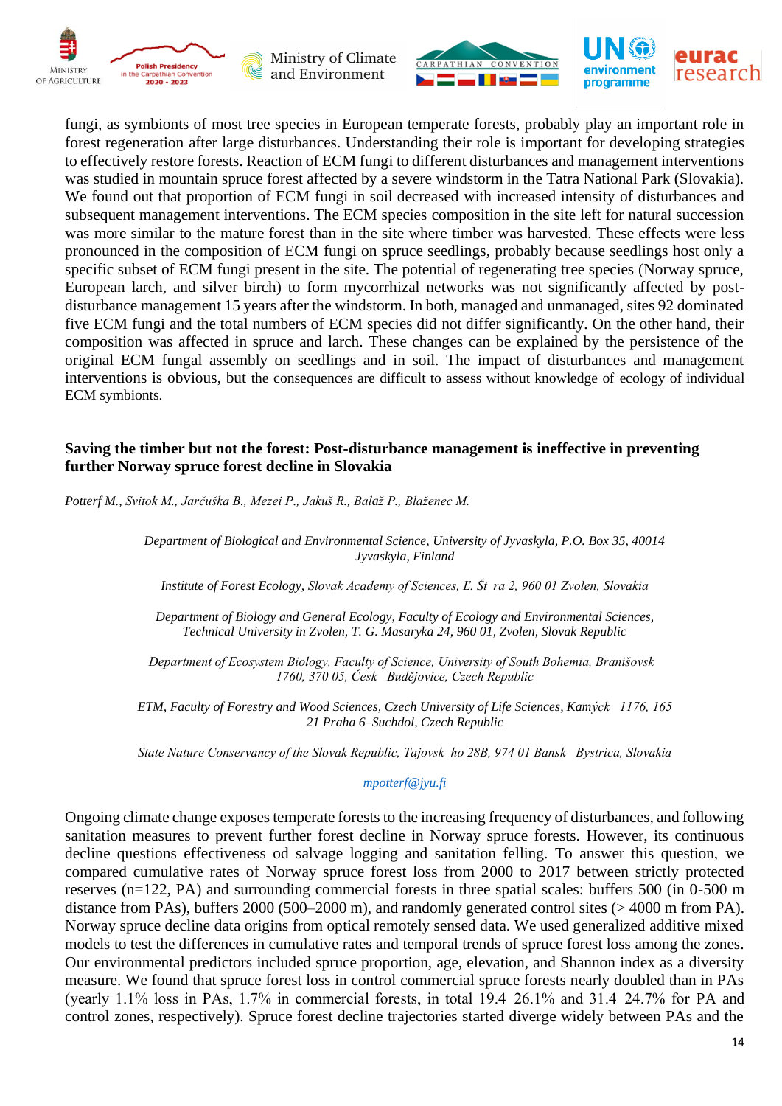





fungi, as symbionts of most tree species in European temperate forests, probably play an important role in forest regeneration after large disturbances. Understanding their role is important for developing strategies to effectively restore forests. Reaction of ECM fungi to different disturbances and management interventions was studied in mountain spruce forest affected by a severe windstorm in the Tatra National Park (Slovakia). We found out that proportion of ECM fungi in soil decreased with increased intensity of disturbances and subsequent management interventions. The ECM species composition in the site left for natural succession was more similar to the mature forest than in the site where timber was harvested. These effects were less pronounced in the composition of ECM fungi on spruce seedlings, probably because seedlings host only a specific subset of ECM fungi present in the site. The potential of regenerating tree species (Norway spruce, European larch, and silver birch) to form mycorrhizal networks was not significantly affected by postdisturbance management 15 years after the windstorm. In both, managed and unmanaged, sites 92 dominated five ECM fungi and the total numbers of ECM species did not differ significantly. On the other hand, their composition was affected in spruce and larch. These changes can be explained by the persistence of the original ECM fungal assembly on seedlings and in soil. The impact of disturbances and management interventions is obvious, but the consequences are difficult to assess without knowledge of ecology of individual ECM symbionts.

## **Saving the timber but not the forest: Post-disturbance management is ineffective in preventing further Norway spruce forest decline in Slovakia**

*Potterf M., Svitok M., Jarčuška B., Mezei P., Jakuš R., Balaž P., Blaženec M.*

*Department of Biological and Environmental Science, University of Jyvaskyla, P.O. Box 35, 40014 Jyvaskyla, Finland*

*Institute of Forest Ecology, Slovak Academy of Sciences, Ľ. Št ra 2, 960 01 Zvolen, Slovakia*

*Department of Biology and General Ecology, Faculty of Ecology and Environmental Sciences, Technical University in Zvolen, T. G. Masaryka 24, 960 01, Zvolen, Slovak Republic*

*Department of Ecosystem Biology, Faculty of Science, University of South Bohemia, Branišovsk 1760, 370 05, Česk Budějovice, Czech Republic*

*ETM, Faculty of Forestry and Wood Sciences, Czech University of Life Sciences, Kamýck 1176, 165 21 Praha 6–Suchdol, Czech Republic*

*State Nature Conservancy of the Slovak Republic, Tajovsk ho 28B, 974 01 Bansk Bystrica, Slovakia*

## *mpotterf@jyu.fi*

Ongoing climate change exposes temperate forests to the increasing frequency of disturbances, and following sanitation measures to prevent further forest decline in Norway spruce forests. However, its continuous decline questions effectiveness od salvage logging and sanitation felling. To answer this question, we compared cumulative rates of Norway spruce forest loss from 2000 to 2017 between strictly protected reserves (n=122, PA) and surrounding commercial forests in three spatial scales: buffers 500 (in 0-500 m distance from PAs), buffers 2000 (500–2000 m), and randomly generated control sites (> 4000 m from PA). Norway spruce decline data origins from optical remotely sensed data. We used generalized additive mixed models to test the differences in cumulative rates and temporal trends of spruce forest loss among the zones. Our environmental predictors included spruce proportion, age, elevation, and Shannon index as a diversity measure. We found that spruce forest loss in control commercial spruce forests nearly doubled than in PAs (yearly 1.1% loss in PAs, 1.7% in commercial forests, in total 19.4 26.1% and 31.4 24.7% for PA and control zones, respectively). Spruce forest decline trajectories started diverge widely between PAs and the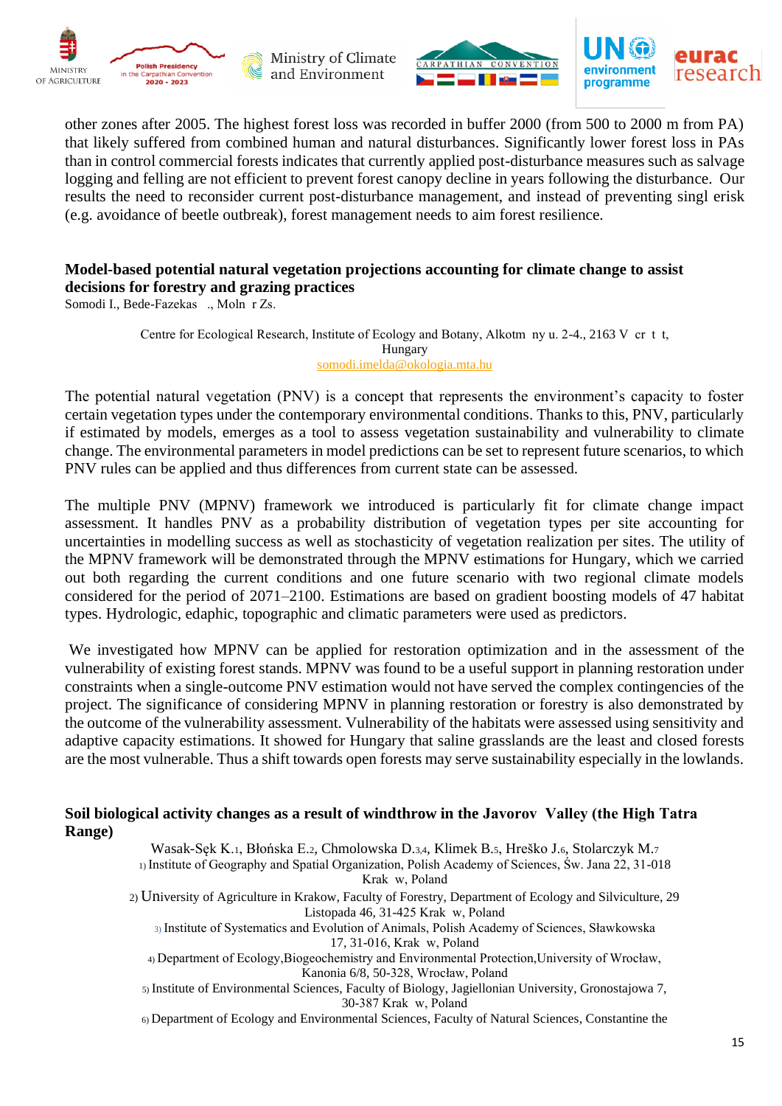





other zones after 2005. The highest forest loss was recorded in buffer 2000 (from 500 to 2000 m from PA) that likely suffered from combined human and natural disturbances. Significantly lower forest loss in PAs than in control commercial forests indicates that currently applied post-disturbance measures such as salvage logging and felling are not efficient to prevent forest canopy decline in years following the disturbance. Our results the need to reconsider current post-disturbance management, and instead of preventing singl erisk (e.g. avoidance of beetle outbreak), forest management needs to aim forest resilience.

## **Model-based potential natural vegetation projections accounting for climate change to assist decisions for forestry and grazing practices**

Somodi I., Bede-Fazekas ., Moln r Zs.

Centre for Ecological Research, Institute of Ecology and Botany, Alkotm ny u. 2-4., 2163 V cr t t, Hungary [somodi.imelda@okologia.mta.hu](mailto:somodi.imelda@okologia.mta.hu)

The potential natural vegetation (PNV) is a concept that represents the environment's capacity to foster certain vegetation types under the contemporary environmental conditions. Thanks to this, PNV, particularly if estimated by models, emerges as a tool to assess vegetation sustainability and vulnerability to climate change. The environmental parameters in model predictions can be set to represent future scenarios, to which PNV rules can be applied and thus differences from current state can be assessed.

The multiple PNV (MPNV) framework we introduced is particularly fit for climate change impact assessment. It handles PNV as a probability distribution of vegetation types per site accounting for uncertainties in modelling success as well as stochasticity of vegetation realization per sites. The utility of the MPNV framework will be demonstrated through the MPNV estimations for Hungary, which we carried out both regarding the current conditions and one future scenario with two regional climate models considered for the period of 2071–2100. Estimations are based on gradient boosting models of 47 habitat types. Hydrologic, edaphic, topographic and climatic parameters were used as predictors.

We investigated how MPNV can be applied for restoration optimization and in the assessment of the vulnerability of existing forest stands. MPNV was found to be a useful support in planning restoration under constraints when a single-outcome PNV estimation would not have served the complex contingencies of the project. The significance of considering MPNV in planning restoration or forestry is also demonstrated by the outcome of the vulnerability assessment. Vulnerability of the habitats were assessed using sensitivity and adaptive capacity estimations. It showed for Hungary that saline grasslands are the least and closed forests are the most vulnerable. Thus a shift towards open forests may serve sustainability especially in the lowlands.

**Soil biological activity changes as a result of windthrow in the Javorov Valley (the High Tatra Range)**

Wasak-Sęk K.1, Błońska E.2, Chmolowska D.3,4, Klimek B.5, Hreško J.6, Stolarczyk M.<sup>7</sup> 1) Institute of Geography and Spatial Organization, Polish Academy of Sciences, Św. Jana 22, 31-018 Krak w, Poland

2) University of Agriculture in Krakow, Faculty of Forestry, Department of Ecology and Silviculture, 29 Listopada 46, 31-425 Krak w, Poland

3) Institute of Systematics and Evolution of Animals, Polish Academy of Sciences, Sławkowska 17, 31-016, Krak w, Poland

4) Department of Ecology,Biogeochemistry and Environmental Protection,University of Wrocław, Kanonia 6/8, 50-328, Wrocław, Poland

5) Institute of Environmental Sciences, Faculty of Biology, Jagiellonian University, Gronostajowa 7, 30-387 Krak w, Poland

6) Department of Ecology and Environmental Sciences, Faculty of Natural Sciences, Constantine the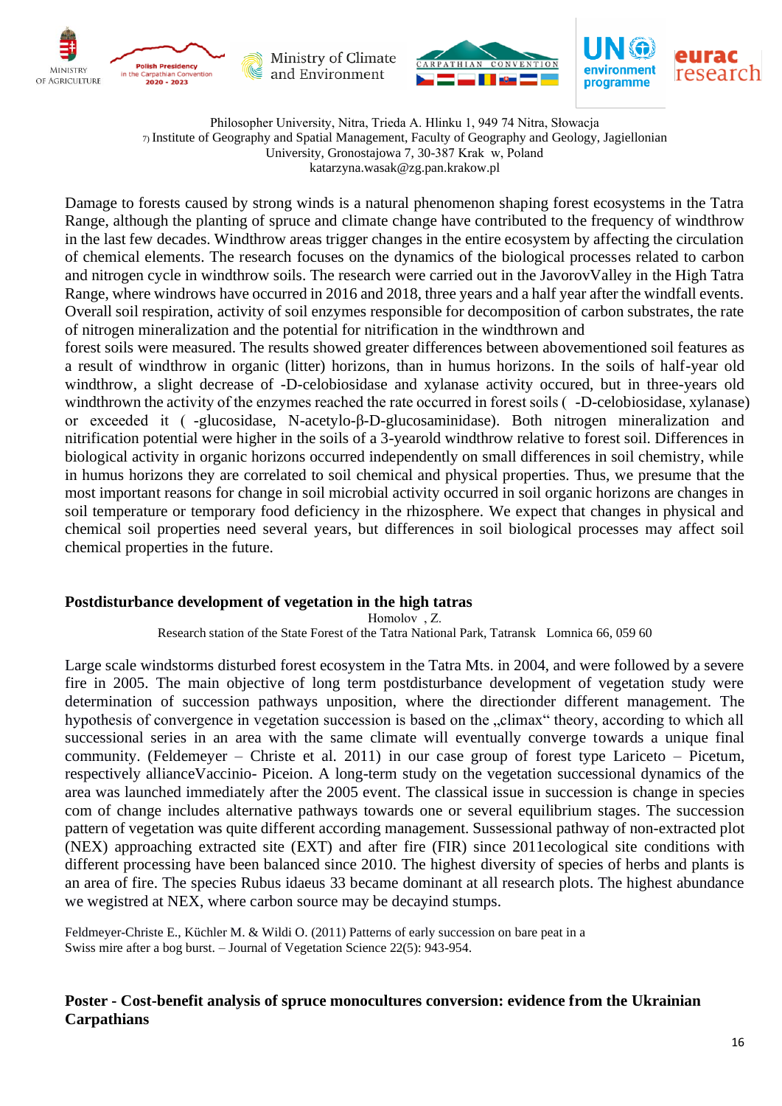





Philosopher University, Nitra, Trieda A. Hlinku 1, 949 74 Nitra, Słowacja  $\eta$  Institute of Geography and Spatial Management, Faculty of Geography and Geology, Jagiellonian University, Gronostajowa 7, 30-387 Krak w, Poland katarzyna.wasak@zg.pan.krakow.pl

Damage to forests caused by strong winds is a natural phenomenon shaping forest ecosystems in the Tatra Range, although the planting of spruce and climate change have contributed to the frequency of windthrow in the last few decades. Windthrow areas trigger changes in the entire ecosystem by affecting the circulation of chemical elements. The research focuses on the dynamics of the biological processes related to carbon and nitrogen cycle in windthrow soils. The research were carried out in the JavorovValley in the High Tatra Range, where windrows have occurred in 2016 and 2018, three years and a half year after the windfall events. Overall soil respiration, activity of soil enzymes responsible for decomposition of carbon substrates, the rate of nitrogen mineralization and the potential for nitrification in the windthrown and

forest soils were measured. The results showed greater differences between abovementioned soil features as a result of windthrow in organic (litter) horizons, than in humus horizons. In the soils of half-year old windthrow, a slight decrease of -D-celobiosidase and xylanase activity occured, but in three-years old windthrown the activity of the enzymes reached the rate occurred in forest soils ( -D-celobiosidase, xylanase) or exceeded it ( -glucosidase, N-acetylo-β-D-glucosaminidase). Both nitrogen mineralization and nitrification potential were higher in the soils of a 3-yearold windthrow relative to forest soil. Differences in biological activity in organic horizons occurred independently on small differences in soil chemistry, while in humus horizons they are correlated to soil chemical and physical properties. Thus, we presume that the most important reasons for change in soil microbial activity occurred in soil organic horizons are changes in soil temperature or temporary food deficiency in the rhizosphere. We expect that changes in physical and chemical soil properties need several years, but differences in soil biological processes may affect soil chemical properties in the future.

## **Postdisturbance development of vegetation in the high tatras**

Homolov , Z.

Research station of the State Forest of the Tatra National Park, Tatransk Lomnica 66, 059 60

Large scale windstorms disturbed forest ecosystem in the Tatra Mts. in 2004, and were followed by a severe fire in 2005. The main objective of long term postdisturbance development of vegetation study were determination of succession pathways unposition, where the directionder different management. The hypothesis of convergence in vegetation succession is based on the "climax" theory, according to which all successional series in an area with the same climate will eventually converge towards a unique final community. (Feldemeyer – Christe et al. 2011) in our case group of forest type Lariceto – Picetum, respectively allianceVaccinio- Piceion. A long-term study on the vegetation successional dynamics of the area was launched immediately after the 2005 event. The classical issue in succession is change in species com of change includes alternative pathways towards one or several equilibrium stages. The succession pattern of vegetation was quite different according management. Sussessional pathway of non-extracted plot (NEX) approaching extracted site (EXT) and after fire (FIR) since 2011ecological site conditions with different processing have been balanced since 2010. The highest diversity of species of herbs and plants is an area of fire. The species Rubus idaeus 33 became dominant at all research plots. The highest abundance we wegistred at NEX, where carbon source may be decayind stumps.

Feldmeyer-Christe E., Küchler M. & Wildi O. (2011) Patterns of early succession on bare peat in a Swiss mire after a bog burst. – Journal of Vegetation Science 22(5): 943-954.

## **Poster - Cost-benefit analysis of spruce monocultures conversion: evidence from the Ukrainian Carpathians**